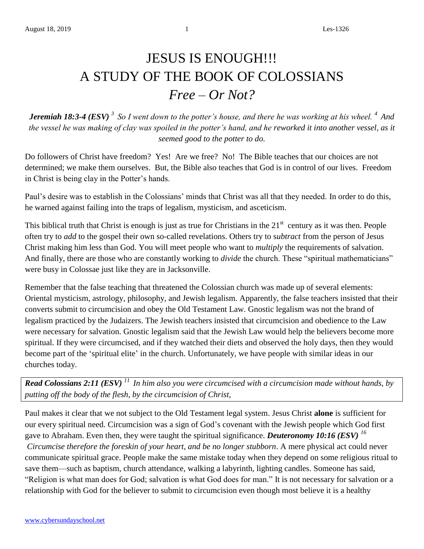## JESUS IS ENOUGH!!! A STUDY OF THE BOOK OF COLOSSIANS *Free – Or Not?*

*Jeremiah 18:3-4 (ESV) <sup>3</sup>So I went down to the potter's house, and there he was working at his wheel. <sup>4</sup>And the vessel he was making of clay was spoiled in the potter's hand, and he reworked it into another vessel, as it seemed good to the potter to do.*

Do followers of Christ have freedom? Yes! Are we free? No! The Bible teaches that our choices are not determined; we make them ourselves. But, the Bible also teaches that God is in control of our lives. Freedom in Christ is being clay in the Potter's hands.

Paul's desire was to establish in the Colossians' minds that Christ was all that they needed. In order to do this, he warned against failing into the traps of legalism, mysticism, and asceticism.

This biblical truth that Christ is enough is just as true for Christians in the  $21<sup>st</sup>$  century as it was then. People often try to *add* to the gospel their own so-called revelations. Others try to s*ubtract* from the person of Jesus Christ making him less than God. You will meet people who want to *multiply* the requirements of salvation. And finally, there are those who are constantly working to *divide* the church. These "spiritual mathematicians" were busy in Colossae just like they are in Jacksonville.

Remember that the false teaching that threatened the Colossian church was made up of several elements: Oriental mysticism, astrology, philosophy, and Jewish legalism. Apparently, the false teachers insisted that their converts submit to circumcision and obey the Old Testament Law. Gnostic legalism was not the brand of legalism practiced by the Judaizers. The Jewish teachers insisted that circumcision and obedience to the Law were necessary for salvation. Gnostic legalism said that the Jewish Law would help the believers become more spiritual. If they were circumcised, and if they watched their diets and observed the holy days, then they would become part of the 'spiritual elite' in the church. Unfortunately, we have people with similar ideas in our churches today.

*Read Colossians 2:11 (ESV) <sup>11</sup>In him also you were circumcised with a circumcision made without hands, by putting off the body of the flesh, by the circumcision of Christ,*

Paul makes it clear that we not subject to the Old Testament legal system. Jesus Christ **alone** is sufficient for our every spiritual need. Circumcision was a sign of God's covenant with the Jewish people which God first gave to Abraham. Even then, they were taught the spiritual significance. *Deuteronomy 10:16 (ESV) <sup>16</sup> Circumcise therefore the foreskin of your heart, and be no longer stubborn*. A mere physical act could never communicate spiritual grace. People make the same mistake today when they depend on some religious ritual to save them—such as baptism, church attendance, walking a labyrinth, lighting candles. Someone has said, "Religion is what man does for God; salvation is what God does for man." It is not necessary for salvation or a relationship with God for the believer to submit to circumcision even though most believe it is a healthy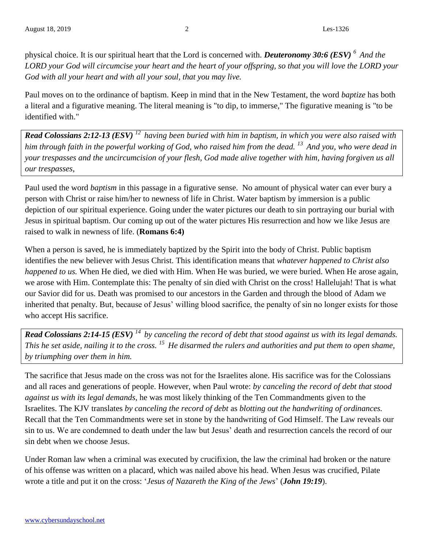physical choice. It is our spiritual heart that the Lord is concerned with. *Deuteronomy 30:6 (ESV) <sup>6</sup>And the LORD your God will circumcise your heart and the heart of your offspring, so that you will love the LORD your God with all your heart and with all your soul, that you may live.*

Paul moves on to the ordinance of baptism. Keep in mind that in the New Testament, the word *baptize* has both a literal and a figurative meaning. The literal meaning is "to dip, to immerse," The figurative meaning is "to be identified with."

*Read Colossians 2:12-13 (ESV) <sup>12</sup>having been buried with him in baptism, in which you were also raised with him through faith in the powerful working of God, who raised him from the dead. <sup>13</sup>And you, who were dead in your trespasses and the uncircumcision of your flesh, God made alive together with him, having forgiven us all our trespasses,*

Paul used the word *baptism* in this passage in a figurative sense. No amount of physical water can ever bury a person with Christ or raise him/her to newness of life in Christ. Water baptism by immersion is a public depiction of our spiritual experience. Going under the water pictures our death to sin portraying our burial with Jesus in spiritual baptism. Our coming up out of the water pictures His resurrection and how we like Jesus are raised to walk in newness of life. (**Romans 6:4)**

When a person is saved, he is immediately baptized by the Spirit into the body of Christ. Public baptism identifies the new believer with Jesus Christ. This identification means that *whatever happened to Christ also happened to us.* When He died, we died with Him. When He was buried, we were buried. When He arose again, we arose with Him. Contemplate this: The penalty of sin died with Christ on the cross! Hallelujah! That is what our Savior did for us. Death was promised to our ancestors in the Garden and through the blood of Adam we inherited that penalty. But, because of Jesus' willing blood sacrifice, the penalty of sin no longer exists for those who accept His sacrifice.

*Read Colossians 2:14-15 (ESV) <sup>14</sup>by canceling the record of debt that stood against us with its legal demands. This he set aside, nailing it to the cross. <sup>15</sup>He disarmed the rulers and authorities and put them to open shame, by triumphing over them in him.*

The sacrifice that Jesus made on the cross was not for the Israelites alone. His sacrifice was for the Colossians and all races and generations of people. However, when Paul wrote: *by canceling the record of debt that stood against us with its legal demands*, he was most likely thinking of the Ten Commandments given to the Israelites. The KJV translates *by canceling the record of debt* as *blotting out the handwriting of ordinances.*  Recall that the Ten Commandments were set in stone by the handwriting of God Himself. The Law reveals our sin to us. We are condemned to death under the law but Jesus' death and resurrection cancels the record of our sin debt when we choose Jesus.

Under Roman law when a criminal was executed by crucifixion, the law the criminal had broken or the nature of his offense was written on a placard, which was nailed above his head. When Jesus was crucified, Pilate wrote a title and put it on the cross: '*Jesus of Nazareth the King of the Jews*' (*John 19:19*).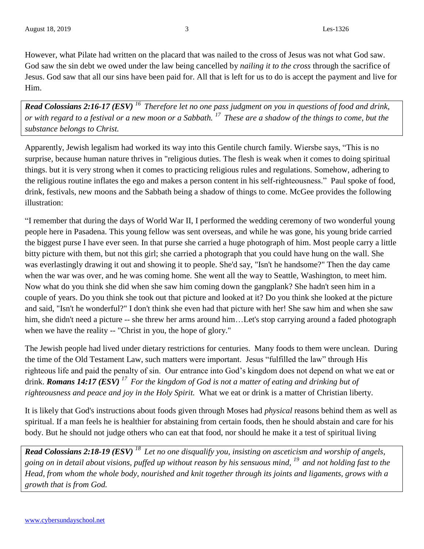However, what Pilate had written on the placard that was nailed to the cross of Jesus was not what God saw. God saw the sin debt we owed under the law being cancelled by *nailing it to the cross* through the sacrifice of Jesus. God saw that all our sins have been paid for. All that is left for us to do is accept the payment and live for Him.

*Read Colossians 2:16-17 (ESV) <sup>16</sup>Therefore let no one pass judgment on you in questions of food and drink, or with regard to a festival or a new moon or a Sabbath. <sup>17</sup>These are a shadow of the things to come, but the substance belongs to Christ.* 

Apparently, Jewish legalism had worked its way into this Gentile church family. Wiersbe says, "This is no surprise, because human nature thrives in "religious duties. The flesh is weak when it comes to doing spiritual things. but it is very strong when it comes to practicing religious rules and regulations. Somehow, adhering to the religious routine inflates the ego and makes a person content in his self-righteousness." Paul spoke of food, drink, festivals, new moons and the Sabbath being a shadow of things to come. McGee provides the following illustration:

"I remember that during the days of World War II, I performed the wedding ceremony of two wonderful young people here in Pasadena. This young fellow was sent overseas, and while he was gone, his young bride carried the biggest purse I have ever seen. In that purse she carried a huge photograph of him. Most people carry a little bitty picture with them, but not this girl; she carried a photograph that you could have hung on the wall. She was everlastingly drawing it out and showing it to people. She'd say, "Isn't he handsome?" Then the day came when the war was over, and he was coming home. She went all the way to Seattle, Washington, to meet him. Now what do you think she did when she saw him coming down the gangplank? She hadn't seen him in a couple of years. Do you think she took out that picture and looked at it? Do you think she looked at the picture and said, "Isn't he wonderful?" I don't think she even had that picture with her! She saw him and when she saw him, she didn't need a picture -- she threw her arms around him...Let's stop carrying around a faded photograph when we have the reality -- "Christ in you, the hope of glory."

The Jewish people had lived under dietary restrictions for centuries. Many foods to them were unclean. During the time of the Old Testament Law, such matters were important. Jesus "fulfilled the law" through His righteous life and paid the penalty of sin. Our entrance into God's kingdom does not depend on what we eat or drink. *Romans 14:17 (ESV) <sup>17</sup>For the kingdom of God is not a matter of eating and drinking but of righteousness and peace and joy in the Holy Spirit.* What we eat or drink is a matter of Christian liberty.

It is likely that God's instructions about foods given through Moses had *physical* reasons behind them as well as spiritual. If a man feels he is healthier for abstaining from certain foods, then he should abstain and care for his body. But he should not judge others who can eat that food, nor should he make it a test of spiritual living

*Read Colossians 2:18-19 (ESV) <sup>18</sup>Let no one disqualify you, insisting on asceticism and worship of angels, going on in detail about visions, puffed up without reason by his sensuous mind, <sup>19</sup>and not holding fast to the Head, from whom the whole body, nourished and knit together through its joints and ligaments, grows with a growth that is from God.*